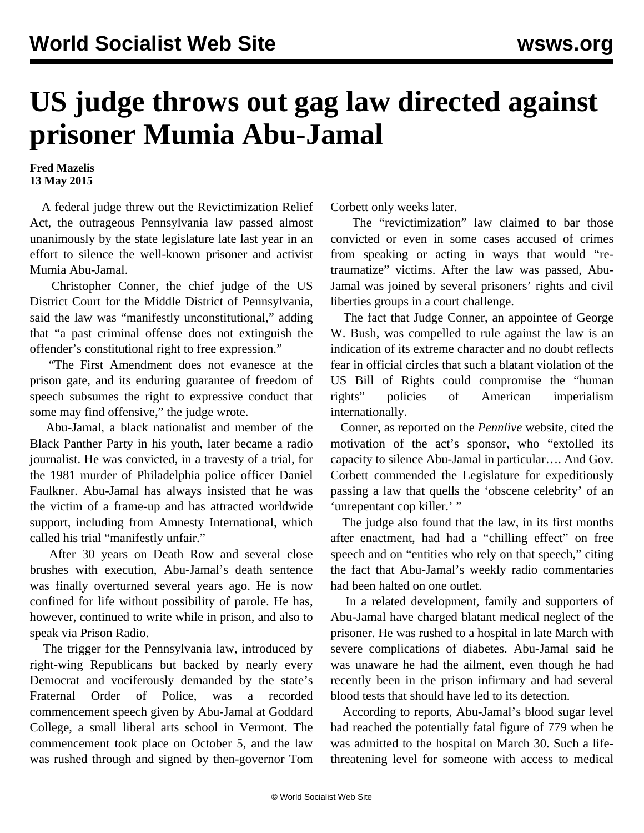## **US judge throws out gag law directed against prisoner Mumia Abu-Jamal**

**Fred Mazelis 13 May 2015**

 A federal judge threw out the Revictimization Relief Act, the outrageous Pennsylvania law passed almost unanimously by the state legislature late last year in an effort to silence the well-known prisoner and activist Mumia Abu-Jamal.

 Christopher Conner, the chief judge of the US District Court for the Middle District of Pennsylvania, said the law was "manifestly unconstitutional," adding that "a past criminal offense does not extinguish the offender's constitutional right to free expression."

 "The First Amendment does not evanesce at the prison gate, and its enduring guarantee of freedom of speech subsumes the right to expressive conduct that some may find offensive," the judge wrote.

 Abu-Jamal, a black nationalist and member of the Black Panther Party in his youth, later became a radio journalist. He was convicted, in a travesty of a trial, for the 1981 murder of Philadelphia police officer Daniel Faulkner. Abu-Jamal has always insisted that he was the victim of a frame-up and has attracted worldwide support, including from Amnesty International, which called his trial "manifestly unfair."

 After 30 years on Death Row and several close brushes with execution, Abu-Jamal's death sentence was finally overturned several years ago. He is now confined for life without possibility of parole. He has, however, continued to write while in prison, and also to speak via Prison Radio.

 The trigger for the Pennsylvania law, introduced by right-wing Republicans but backed by nearly every Democrat and vociferously demanded by the state's Fraternal Order of Police, was a recorded commencement speech given by Abu-Jamal at Goddard College, a small liberal arts school in Vermont. The commencement took place on October 5, and the law was rushed through and signed by then-governor Tom Corbett only weeks later.

 The "revictimization" law claimed to bar those convicted or even in some cases accused of crimes from speaking or acting in ways that would "retraumatize" victims. After the law was passed, Abu-Jamal was [joined by several prisoners](/en/articles/2014/11/13/mumi-n13.html)' rights and civil liberties groups in a court challenge.

 The fact that Judge Conner, an appointee of George W. Bush, was compelled to rule against the law is an indication of its extreme character and no doubt reflects fear in official circles that such a blatant violation of the US Bill of Rights could compromise the "human rights" policies of American imperialism internationally.

 Conner, as reported on the *Pennlive* website, cited the motivation of the act's sponsor, who "extolled its capacity to silence Abu-Jamal in particular…. And Gov. Corbett commended the Legislature for expeditiously passing a law that quells the 'obscene celebrity' of an 'unrepentant cop killer.' "

 The judge also found that the law, in its first months after enactment, had had a "chilling effect" on free speech and on "entities who rely on that speech," citing the fact that Abu-Jamal's weekly radio commentaries had been halted on one outlet.

 In a related development, family and supporters of Abu-Jamal have charged blatant medical neglect of the prisoner. He was rushed to a hospital in late March with severe complications of diabetes. Abu-Jamal said he was unaware he had the ailment, even though he had recently been in the prison infirmary and had several blood tests that should have led to its detection.

 According to reports, Abu-Jamal's blood sugar level had reached the potentially fatal figure of 779 when he was admitted to the hospital on March 30. Such a lifethreatening level for someone with access to medical